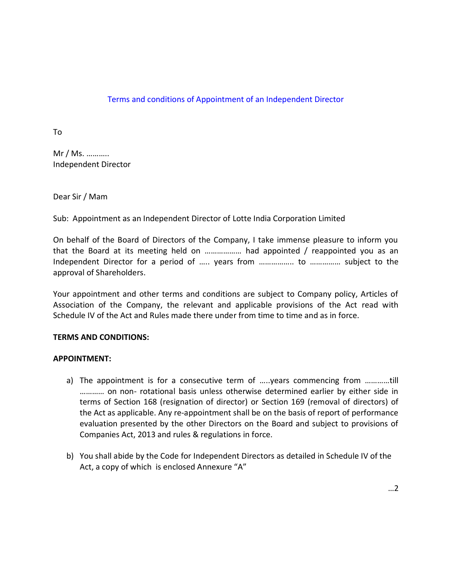# Terms and conditions of Appointment of an Independent Director

To

Mr / Ms. ……….. Independent Director

Dear Sir / Mam

Sub: Appointment as an Independent Director of Lotte India Corporation Limited

On behalf of the Board of Directors of the Company, I take immense pleasure to inform you that the Board at its meeting held on ……………… had appointed / reappointed you as an Independent Director for a period of ….. years from …………….. to …………… subject to the approval of Shareholders.

Your appointment and other terms and conditions are subject to Company policy, Articles of Association of the Company, the relevant and applicable provisions of the Act read with Schedule IV of the Act and Rules made there under from time to time and as in force.

### **TERMS AND CONDITIONS:**

### **APPOINTMENT:**

- a) The appointment is for a consecutive term of …..years commencing from …………till ………… on non- rotational basis unless otherwise determined earlier by either side in terms of Section 168 (resignation of director) or Section 169 (removal of directors) of the Act as applicable. Any re-appointment shall be on the basis of report of performance evaluation presented by the other Directors on the Board and subject to provisions of Companies Act, 2013 and rules & regulations in force.
- b) You shall abide by the Code for Independent Directors as detailed in Schedule IV of the Act, a copy of which is enclosed Annexure "A"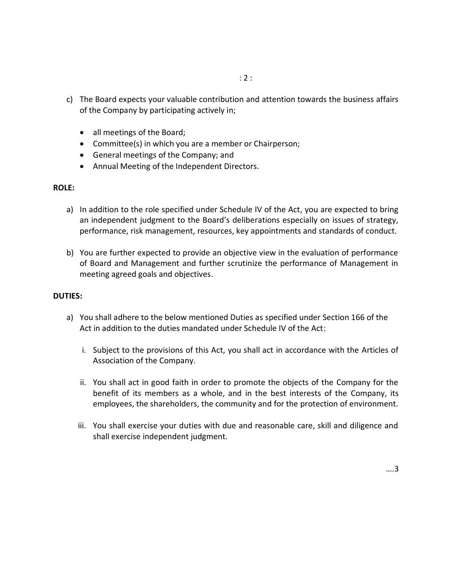- c) The Board expects your valuable contribution and attention towards the business affairs of the Company by participating actively in;
	- all meetings of the Board;
	- Committee(s) in which you are a member or Chairperson;
	- General meetings of the Company; and
	- Annual Meeting of the Independent Directors.

### **ROLE:**

- a) In addition to the role specified under Schedule IV of the Act, you are expected to bring an independent judgment to the Board's deliberations especially on issues of strategy, performance, risk management, resources, key appointments and standards of conduct.
- b) You are further expected to provide an objective view in the evaluation of performance of Board and Management and further scrutinize the performance of Management in meeting agreed goals and objectives.

## **DUTIES:**

- a) You shall adhere to the below mentioned Duties as specified under Section 166 of the Act in addition to the duties mandated under Schedule IV of the Act:
	- i. Subject to the provisions of this Act, you shall act in accordance with the Articles of Association of the Company.
	- ii. You shall act in good faith in order to promote the objects of the Company for the benefit of its members as a whole, and in the best interests of the Company, its employees, the shareholders, the community and for the protection of environment.
	- iii. You shall exercise your duties with due and reasonable care, skill and diligence and shall exercise independent judgment.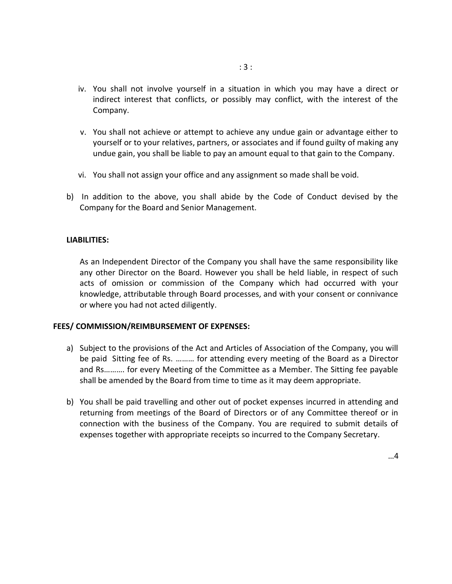- iv. You shall not involve yourself in a situation in which you may have a direct or indirect interest that conflicts, or possibly may conflict, with the interest of the Company.
- v. You shall not achieve or attempt to achieve any undue gain or advantage either to yourself or to your relatives, partners, or associates and if found guilty of making any undue gain, you shall be liable to pay an amount equal to that gain to the Company.
- vi. You shall not assign your office and any assignment so made shall be void.
- b) In addition to the above, you shall abide by the Code of Conduct devised by the Company for the Board and Senior Management.

#### **LIABILITIES:**

As an Independent Director of the Company you shall have the same responsibility like any other Director on the Board. However you shall be held liable, in respect of such acts of omission or commission of the Company which had occurred with your knowledge, attributable through Board processes, and with your consent or connivance or where you had not acted diligently.

### **FEES/ COMMISSION/REIMBURSEMENT OF EXPENSES:**

- a) Subject to the provisions of the Act and Articles of Association of the Company, you will be paid Sitting fee of Rs. ……… for attending every meeting of the Board as a Director and Rs………. for every Meeting of the Committee as a Member. The Sitting fee payable shall be amended by the Board from time to time as it may deem appropriate.
- b) You shall be paid travelling and other out of pocket expenses incurred in attending and returning from meetings of the Board of Directors or of any Committee thereof or in connection with the business of the Company. You are required to submit details of expenses together with appropriate receipts so incurred to the Company Secretary.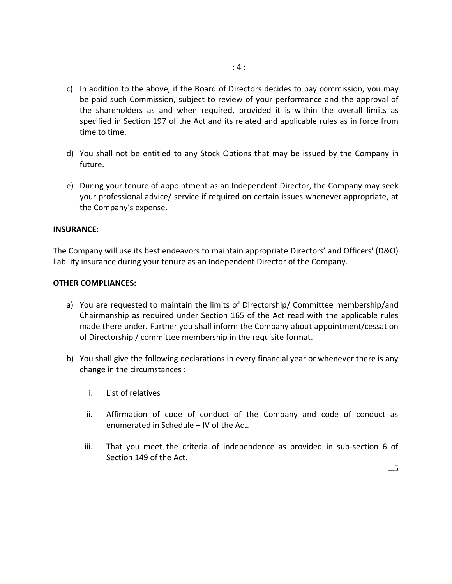- c) In addition to the above, if the Board of Directors decides to pay commission, you may be paid such Commission, subject to review of your performance and the approval of the shareholders as and when required, provided it is within the overall limits as specified in Section 197 of the Act and its related and applicable rules as in force from time to time.
- d) You shall not be entitled to any Stock Options that may be issued by the Company in future.
- e) During your tenure of appointment as an Independent Director, the Company may seek your professional advice/ service if required on certain issues whenever appropriate, at the Company's expense.

#### **INSURANCE:**

The Company will use its best endeavors to maintain appropriate Directors' and Officers' (D&O) liability insurance during your tenure as an Independent Director of the Company.

#### **OTHER COMPLIANCES:**

- a) You are requested to maintain the limits of Directorship/ Committee membership/and Chairmanship as required under Section 165 of the Act read with the applicable rules made there under. Further you shall inform the Company about appointment/cessation of Directorship / committee membership in the requisite format.
- b) You shall give the following declarations in every financial year or whenever there is any change in the circumstances :
	- i. List of relatives
	- ii. Affirmation of code of conduct of the Company and code of conduct as enumerated in Schedule – IV of the Act.
	- iii. That you meet the criteria of independence as provided in sub-section 6 of Section 149 of the Act.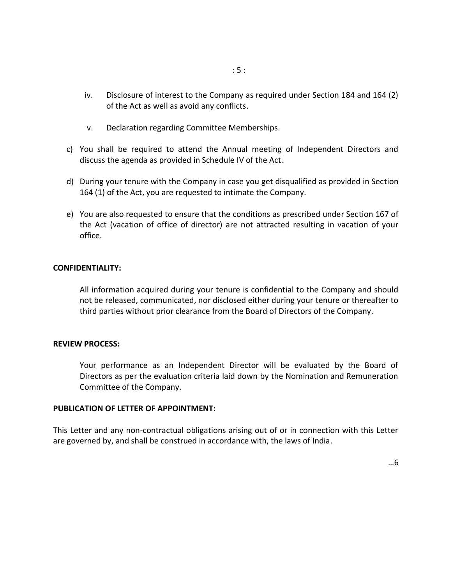- iv. Disclosure of interest to the Company as required under Section 184 and 164 (2) of the Act as well as avoid any conflicts.
- v. Declaration regarding Committee Memberships.
- c) You shall be required to attend the Annual meeting of Independent Directors and discuss the agenda as provided in Schedule IV of the Act.
- d) During your tenure with the Company in case you get disqualified as provided in Section 164 (1) of the Act, you are requested to intimate the Company.
- e) You are also requested to ensure that the conditions as prescribed under Section 167 of the Act (vacation of office of director) are not attracted resulting in vacation of your office.

### **CONFIDENTIALITY:**

All information acquired during your tenure is confidential to the Company and should not be released, communicated, nor disclosed either during your tenure or thereafter to third parties without prior clearance from the Board of Directors of the Company.

#### **REVIEW PROCESS:**

Your performance as an Independent Director will be evaluated by the Board of Directors as per the evaluation criteria laid down by the Nomination and Remuneration Committee of the Company.

#### **PUBLICATION OF LETTER OF APPOINTMENT:**

This Letter and any non-contractual obligations arising out of or in connection with this Letter are governed by, and shall be construed in accordance with, the laws of India.